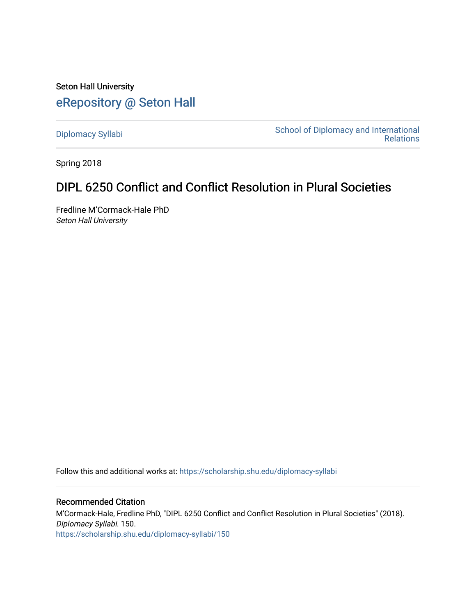Seton Hall University [eRepository @ Seton Hall](https://scholarship.shu.edu/)

[Diplomacy Syllabi](https://scholarship.shu.edu/diplomacy-syllabi) [School of Diplomacy and International](https://scholarship.shu.edu/diplomacy)  [Relations](https://scholarship.shu.edu/diplomacy) 

Spring 2018

# DIPL 6250 Conflict and Conflict Resolution in Plural Societies

Fredline M'Cormack-Hale PhD Seton Hall University

Follow this and additional works at: [https://scholarship.shu.edu/diplomacy-syllabi](https://scholarship.shu.edu/diplomacy-syllabi?utm_source=scholarship.shu.edu%2Fdiplomacy-syllabi%2F150&utm_medium=PDF&utm_campaign=PDFCoverPages) 

Recommended Citation M'Cormack-Hale, Fredline PhD, "DIPL 6250 Conflict and Conflict Resolution in Plural Societies" (2018). Diplomacy Syllabi. 150. [https://scholarship.shu.edu/diplomacy-syllabi/150](https://scholarship.shu.edu/diplomacy-syllabi/150?utm_source=scholarship.shu.edu%2Fdiplomacy-syllabi%2F150&utm_medium=PDF&utm_campaign=PDFCoverPages)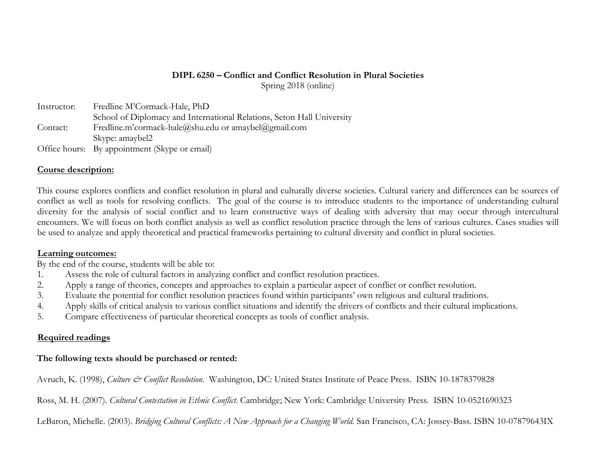# **DIPL 6250 – Conflict and Conflict Resolution in Plural Societies**

Spring 2018 (online)

| Instructor: | Fredline M'Cormack-Hale, PhD                                           |
|-------------|------------------------------------------------------------------------|
|             | School of Diplomacy and International Relations, Seton Hall University |
| Contact:    | Fredline.m'cormack-hale@shu.edu or amaybel@gmail.com                   |
|             | Skype: amaybel2                                                        |
|             | Office hours: By appointment (Skype or email)                          |

## **Course description:**

This course explores conflicts and conflict resolution in plural and culturally diverse societies. Cultural variety and differences can be sources of conflict as well as tools for resolving conflicts. The goal of the course is to introduce students to the importance of understanding cultural diversity for the analysis of social conflict and to learn constructive ways of dealing with adversity that may occur through intercultural encounters. We will focus on both conflict analysis as well as conflict resolution practice through the lens of various cultures. Cases studies will be used to analyze and apply theoretical and practical frameworks pertaining to cultural diversity and conflict in plural societies.

### **Learning outcomes:**

By the end of the course, students will be able to:

- 1. Assess the role of cultural factors in analyzing conflict and conflict resolution practices.
- 2. Apply a range of theories, concepts and approaches to explain a particular aspect of conflict or conflict resolution.
- 3. Evaluate the potential for conflict resolution practices found within participants' own religious and cultural traditions.
- 4. Apply skills of critical analysis to various conflict situations and identify the drivers of conflicts and their cultural implications.
- 5. Compare effectiveness of particular theoretical concepts as tools of conflict analysis.

# **Required readings**

## **The following texts should be purchased or rented:**

Avruch, K. (1998), *Culture & Conflict Resolution*. Washington, DC: United States Institute of Peace Press. ISBN 10-1878379828

Ross, M. H. (2007). *Cultural Contestation in Ethnic Conflict*. Cambridge; New York: Cambridge University Press. ISBN 10-0521690323

LeBaron, Michelle. (2003). *Bridging Cultural Conflicts: A New Approach for a Changing World*. San Francisco, CA: Jossey-Bass. ISBN 10-07879643IX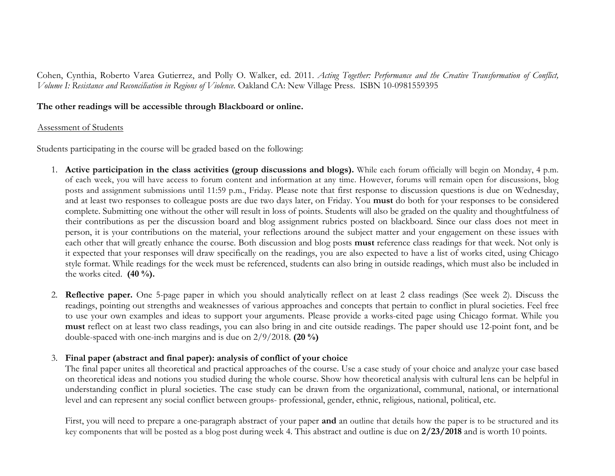Cohen, Cynthia, Roberto Varea Gutierrez, and Polly O. Walker, ed. 2011. *Acting Together: Performance and the Creative Transformation of Conflict, Volume I: Resistance and Reconciliation in Regions of Violence.* Oakland CA: New Village Press. ISBN 10-0981559395

#### **The other readings will be accessible through Blackboard or online.**

#### Assessment of Students

Students participating in the course will be graded based on the following:

- 1. **Active participation in the class activities (group discussions and blogs).** While each forum officially will begin on Monday, 4 p.m. of each week, you will have access to forum content and information at any time. However, forums will remain open for discussions, blog posts and assignment submissions until 11:59 p.m., Friday. Please note that first response to discussion questions is due on Wednesday, and at least two responses to colleague posts are due two days later, on Friday. You **must** do both for your responses to be considered complete. Submitting one without the other will result in loss of points. Students will also be graded on the quality and thoughtfulness of their contributions as per the discussion board and blog assignment rubrics posted on blackboard. Since our class does not meet in person, it is your contributions on the material, your reflections around the subject matter and your engagement on these issues with each other that will greatly enhance the course. Both discussion and blog posts **must** reference class readings for that week. Not only is it expected that your responses will draw specifically on the readings, you are also expected to have a list of works cited, using Chicago style format. While readings for the week must be referenced, students can also bring in outside readings, which must also be included in the works cited. **(40 %).**
- 2. **Reflective paper.** One 5-page paper in which you should analytically reflect on at least 2 class readings (See week 2). Discuss the readings, pointing out strengths and weaknesses of various approaches and concepts that pertain to conflict in plural societies. Feel free to use your own examples and ideas to support your arguments. Please provide a works-cited page using Chicago format. While you **must** reflect on at least two class readings, you can also bring in and cite outside readings. The paper should use 12-point font, and be double-spaced with one-inch margins and is due on 2/9/2018. **(20 %)**

### 3. **Final paper (abstract and final paper): analysis of conflict of your choice**

The final paper unites all theoretical and practical approaches of the course. Use a case study of your choice and analyze your case based on theoretical ideas and notions you studied during the whole course. Show how theoretical analysis with cultural lens can be helpful in understanding conflict in plural societies. The case study can be drawn from the organizational, communal, national, or international level and can represent any social conflict between groups- professional, gender, ethnic, religious, national, political, etc.

First, you will need to prepare a one-paragraph abstract of your paper **and** an outline that details how the paper is to be structured and its key components that will be posted as a blog post during week 4. This abstract and outline is due on **2/23/2018** and is worth 10 points.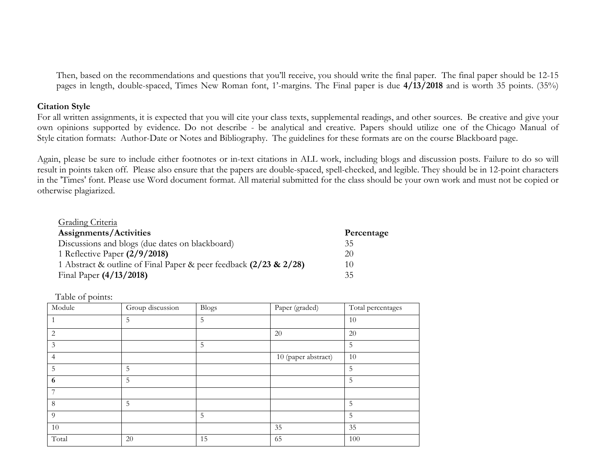Then, based on the recommendations and questions that you'll receive, you should write the final paper. The final paper should be 12-15 pages in length, double-spaced, Times New Roman font, 1'-margins. The Final paper is due **4/13/2018** and is worth 35 points. (35%)

#### **Citation Style**

For all written assignments, it is expected that you will cite your class texts, supplemental readings, and other sources. Be creative and give your own opinions supported by evidence. Do not describe - be analytical and creative. Papers should utilize one of the Chicago Manual of Style citation formats: Author-Date or Notes and Bibliography. The guidelines for these formats are on the course Blackboard page.

Again, please be sure to include either footnotes or in-text citations in ALL work, including blogs and discussion posts. Failure to do so will result in points taken off. Please also ensure that the papers are double-spaced, spell-checked, and legible. They should be in 12-point characters in the 'Times' font. Please use Word document format. All material submitted for the class should be your own work and must not be copied or otherwise plagiarized.

| Grading Criteria                                                  |            |
|-------------------------------------------------------------------|------------|
| Assignments/Activities                                            | Percentage |
| Discussions and blogs (due dates on blackboard)                   | 35         |
| 1 Reflective Paper $(2/9/2018)$                                   | 20         |
| 1 Abstract & outline of Final Paper & peer feedback (2/23 & 2/28) | 10         |
| Final Paper (4/13/2018)                                           | 35         |

Table of points:

| л.<br>Module   | Group discussion | Blogs | Paper (graded)      | Total percentages |
|----------------|------------------|-------|---------------------|-------------------|
| 1              | 5                | 5     |                     | 10                |
| 2              |                  |       | 20                  | 20                |
| 3              |                  | 5     |                     | 5                 |
| $\overline{4}$ |                  |       | 10 (paper abstract) | 10                |
| 5              | 5                |       |                     | 5                 |
| 6              | 5                |       |                     | 5                 |
| 7              |                  |       |                     |                   |
| 8              | 5                |       |                     | 5                 |
| 9              |                  | 5     |                     | 5                 |
| 10             |                  |       | 35                  | 35                |
| Total          | 20               | 15    | 65                  | 100               |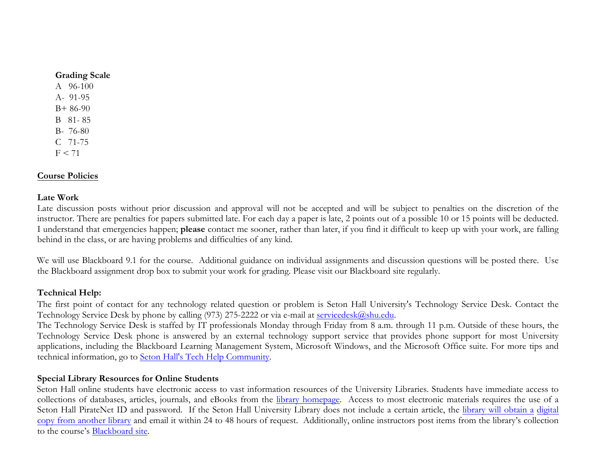#### **Grading Scale**

A 96-100 A- 91-95 B+ 86-90 B 81- 85 B- 76-80 C 71-75  $F < 71$ 

## **Course Policies**

### **Late Work**

Late discussion posts without prior discussion and approval will not be accepted and will be subject to penalties on the discretion of the instructor. There are penalties for papers submitted late. For each day a paper is late, 2 points out of a possible 10 or 15 points will be deducted. I understand that emergencies happen; **please** contact me sooner, rather than later, if you find it difficult to keep up with your work, are falling behind in the class, or are having problems and difficulties of any kind.

We will use Blackboard 9.1 for the course. Additional guidance on individual assignments and discussion questions will be posted there. Use the Blackboard assignment drop box to submit your work for grading. Please visit our Blackboard site regularly.

### **Technical Help:**

The first point of contact for any technology related question or problem is Seton Hall University's Technology Service Desk. Contact the Technology Service Desk by phone by calling (973) 275-2222 or via e-mail at servicedesk@shu.edu.

The Technology Service Desk is staffed by IT professionals Monday through Friday from 8 a.m. through 11 p.m. Outside of these hours, the Technology Service Desk phone is answered by an external technology support service that provides phone support for most University applications, including the Blackboard Learning Management System, Microsoft Windows, and the Microsoft Office suite. For more tips and technical information, go to Seton Hall's Tech Help Community.

### **Special Library Resources for Online Students**

Seton Hall online students have electronic access to vast information resources of the University Libraries. Students have immediate access to collections of databases, articles, journals, and eBooks from the library homepage. Access to most electronic materials requires the use of a Seton Hall PirateNet ID and password. If the Seton Hall University Library does not include a certain article, the library will obtain a digital copy from another library and email it within 24 to 48 hours of request. Additionally, online instructors post items from the library's collection to the course's Blackboard site.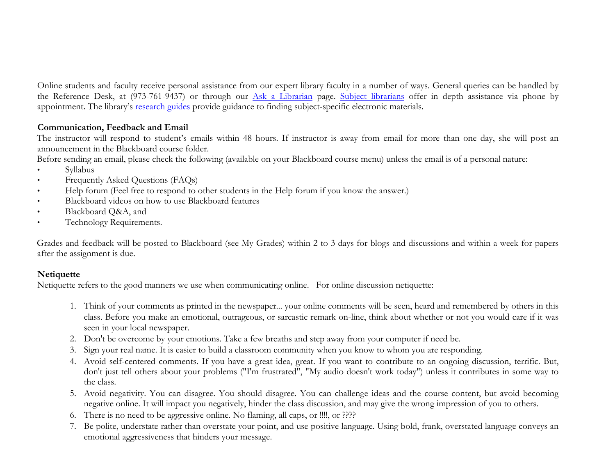Online students and faculty receive personal assistance from our expert library faculty in a number of ways. General queries can be handled by the Reference Desk, at (973-761-9437) or through our Ask a Librarian page. Subject librarians offer in depth assistance via phone by appointment. The library's research guides provide guidance to finding subject-specific electronic materials.

## **Communication, Feedback and Email**

The instructor will respond to student's emails within 48 hours. If instructor is away from email for more than one day, she will post an announcement in the Blackboard course folder.

Before sending an email, please check the following (available on your Blackboard course menu) unless the email is of a personal nature:

- Syllabus
- Frequently Asked Questions (FAQs)
- Help forum (Feel free to respond to other students in the Help forum if you know the answer.)
- Blackboard videos on how to use Blackboard features
- Blackboard Q&A, and
- Technology Requirements.

Grades and feedback will be posted to Blackboard (see My Grades) within 2 to 3 days for blogs and discussions and within a week for papers after the assignment is due.

### **Netiquette**

Netiquette refers to the good manners we use when communicating online. For online discussion netiquette:

- 1. Think of your comments as printed in the newspaper... your online comments will be seen, heard and remembered by others in this class. Before you make an emotional, outrageous, or sarcastic remark on-line, think about whether or not you would care if it was seen in your local newspaper.
- 2. Don't be overcome by your emotions. Take a few breaths and step away from your computer if need be.
- 3. Sign your real name. It is easier to build a classroom community when you know to whom you are responding.
- 4. Avoid self-centered comments. If you have a great idea, great. If you want to contribute to an ongoing discussion, terrific. But, don't just tell others about your problems ("I'm frustrated", "My audio doesn't work today") unless it contributes in some way to the class.
- 5. Avoid negativity. You can disagree. You should disagree. You can challenge ideas and the course content, but avoid becoming negative online. It will impact you negatively, hinder the class discussion, and may give the wrong impression of you to others.
- 6. There is no need to be aggressive online. No flaming, all caps, or !!!!, or ????
- 7. Be polite, understate rather than overstate your point, and use positive language. Using bold, frank, overstated language conveys an emotional aggressiveness that hinders your message.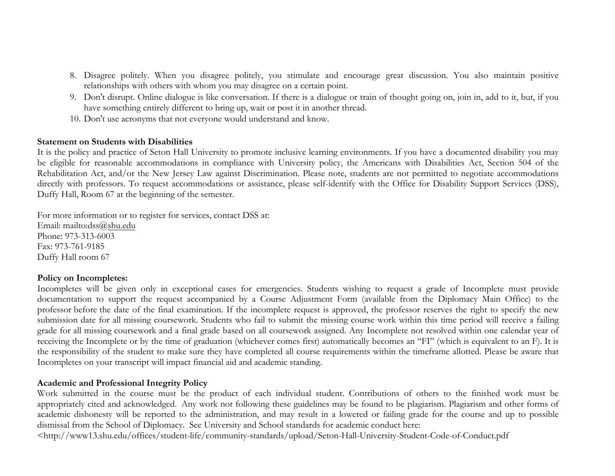- 8. Disagree politely. When you disagree politely, you stimulate and encourage great discussion. You also maintain positive relationships with others with whom you may disagree on a certain point.
- 9. Don't disrupt. Online dialogue is like conversation. If there is a dialogue or train of thought going on, join in, add to it, but, if you have something entirely different to bring up, wait or post it in another thread.
- 10. Don't use acronyms that not everyone would understand and know.

#### **Statement on Students with Disabilities**

It is the policy and practice of Seton Hall University to promote inclusive learning environments. If you have a documented disability you may be eligible for reasonable accommodations in compliance with University policy, the Americans with Disabilities Act, Section 504 of the Rehabilitation Act, and/or the New Jersey Law against Discrimination. Please note, students are not permitted to negotiate accommodations directly with professors. To request accommodations or assistance, please self-identify with the Office for Disability Support Services (DSS), Duffy Hall, Room 67 at the beginning of the semester.

For more information or to register for services, contact DSS at: Email: mailto:dss@shu.edu Phone: 973-313-6003 Fax: 973-761-9185 Duffy Hall room 67

### **Policy on Incompletes:**

Incompletes will be given only in exceptional cases for emergencies. Students wishing to request a grade of Incomplete must provide documentation to support the request accompanied by a Course Adjustment Form (available from the Diplomacy Main Office) to the professor before the date of the final examination. If the incomplete request is approved, the professor reserves the right to specify the new submission date for all missing coursework. Students who fail to submit the missing course work within this time period will receive a failing grade for all missing coursework and a final grade based on all coursework assigned. Any Incomplete not resolved within one calendar year of receiving the Incomplete or by the time of graduation (whichever comes first) automatically becomes an "FI" (which is equivalent to an F). It is the responsibility of the student to make sure they have completed all course requirements within the timeframe allotted. Please be aware that Incompletes on your transcript will impact financial aid and academic standing.

### **Academic and Professional Integrity Policy**

Work submitted in the course must be the product of each individual student. Contributions of others to the finished work must be appropriately cited and acknowledged. Any work not following these guidelines may be found to be plagiarism. Plagiarism and other forms of academic dishonesty will be reported to the administration, and may result in a lowered or failing grade for the course and up to possible dismissal from the School of Diplomacy. See University and School standards for academic conduct here:

<http://www13.shu.edu/offices/student-life/community-standards/upload/Seton-Hall-University-Student-Code-of-Conduct.pdf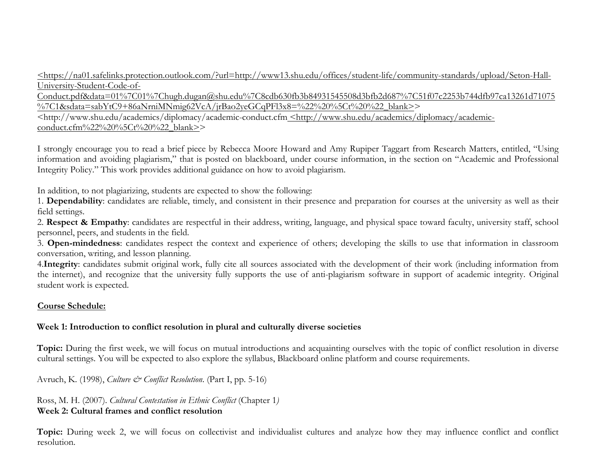<https://na01.safelinks.protection.outlook.com/?url=http://www13.shu.edu/offices/student-life/community-standards/upload/Seton-Hall-University-Student-Code-of-

Conduct.pdf&data=01%7C01%7Chugh.dugan@shu.edu%7C8cdb630fb3b84931545508d3bfb2d687%7C51f07c2253b744dfb97ca13261d71075  $\frac{1}{2}$ %7C1&sdata=sabYtC9+86aNrniMNmig62VcA/jrBao2yeGCqPFl3x8=%22%20%5Ct%20%22\_blank>>

<http://www.shu.edu/academics/diplomacy/academic-conduct.cfm <http://www.shu.edu/academics/diplomacy/academicconduct.cfm%22%20%5Ct%20%22\_blank>>

I strongly encourage you to read a brief piece by Rebecca Moore Howard and Amy Rupiper Taggart from Research Matters, entitled, "Using information and avoiding plagiarism," that is posted on blackboard, under course information, in the section on "Academic and Professional Integrity Policy." This work provides additional guidance on how to avoid plagiarism.

In addition, to not plagiarizing, students are expected to show the following:

1. **Dependability**: candidates are reliable, timely, and consistent in their presence and preparation for courses at the university as well as their field settings.

2. **Respect & Empathy**: candidates are respectful in their address, writing, language, and physical space toward faculty, university staff, school personnel, peers, and students in the field.

3. **Open-mindedness**: candidates respect the context and experience of others; developing the skills to use that information in classroom conversation, writing, and lesson planning.

4.**Integrity**: candidates submit original work, fully cite all sources associated with the development of their work (including information from the internet), and recognize that the university fully supports the use of anti-plagiarism software in support of academic integrity. Original student work is expected.

## **Course Schedule:**

## **Week 1: Introduction to conflict resolution in plural and culturally diverse societies**

**Topic:** During the first week, we will focus on mutual introductions and acquainting ourselves with the topic of conflict resolution in diverse cultural settings. You will be expected to also explore the syllabus, Blackboard online platform and course requirements.

Avruch, K. (1998), *Culture & Conflict Resolution*. (Part I, pp. 5-16)

Ross, M. H. (2007). *Cultural Contestation in Ethnic Conflict* (Chapter 1*)* **Week 2: Cultural frames and conflict resolution** 

**Topic:** During week 2, we will focus on collectivist and individualist cultures and analyze how they may influence conflict and conflict resolution.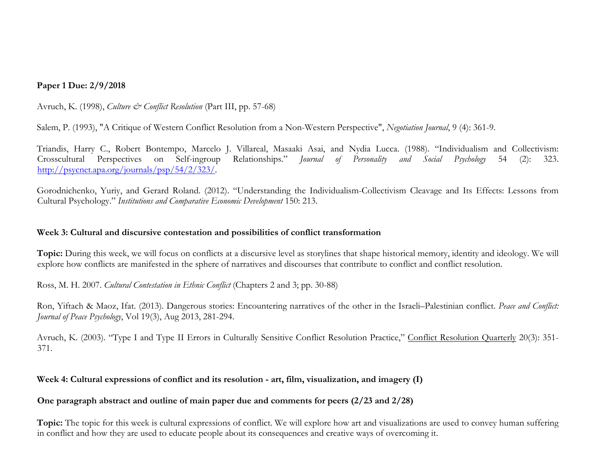## **Paper 1 Due: 2/9/2018**

Avruch, K. (1998), *Culture & Conflict Resolution* (Part III, pp. 57-68)

Salem, P. (1993), "A Critique of Western Conflict Resolution from a Non-Western Perspective", *Negotiation Journal*, 9 (4): 361-9.

Triandis, Harry C., Robert Bontempo, Marcelo J. Villareal, Masaaki Asai, and Nydia Lucca. (1988). "Individualism and Collectivism: Crosscultural Perspectives on Self-ingroup Relationships." *Journal of Personality and Social Psychology* 54 (2): 323. http://psycnet.apa.org/journals/psp/54/2/323/.

Gorodnichenko, Yuriy, and Gerard Roland. (2012). "Understanding the Individualism-Collectivism Cleavage and Its Effects: Lessons from Cultural Psychology." *Institutions and Comparative Economic Development* 150: 213.

#### **Week 3: Cultural and discursive contestation and possibilities of conflict transformation**

**Topic:** During this week, we will focus on conflicts at a discursive level as storylines that shape historical memory, identity and ideology. We will explore how conflicts are manifested in the sphere of narratives and discourses that contribute to conflict and conflict resolution.

Ross, M. H. 2007. *Cultural Contestation in Ethnic Conflict* (Chapters 2 and 3; pp. 30-88)

Ron, Yiftach & Maoz, Ifat. (2013). Dangerous stories: Encountering narratives of the other in the Israeli–Palestinian conflict. *Peace and Conflict: Journal of Peace Psychology*, Vol 19(3), Aug 2013, 281-294.

Avruch, K. (2003). "Type I and Type II Errors in Culturally Sensitive Conflict Resolution Practice," Conflict Resolution Quarterly 20(3): 351-371.

### **Week 4: Cultural expressions of conflict and its resolution - art, film, visualization, and imagery (I)**

### **One paragraph abstract and outline of main paper due and comments for peers (2/23 and 2/28)**

**Topic:** The topic for this week is cultural expressions of conflict. We will explore how art and visualizations are used to convey human suffering in conflict and how they are used to educate people about its consequences and creative ways of overcoming it.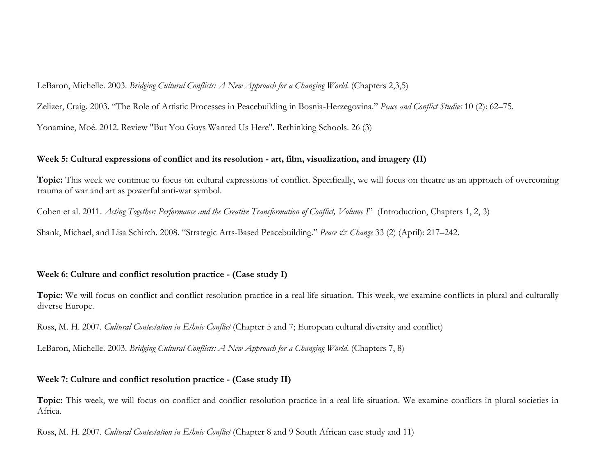LeBaron, Michelle. 2003. *Bridging Cultural Conflicts: A New Approach for a Changing World*. (Chapters 2,3,5)

Zelizer, Craig. 2003. "The Role of Artistic Processes in Peacebuilding in Bosnia-Herzegovina." *Peace and Conflict Studies* 10 (2): 62–75.

Yonamine, Moé. 2012. Review "But You Guys Wanted Us Here". Rethinking Schools. 26 (3)

### **Week 5: Cultural expressions of conflict and its resolution - art, film, visualization, and imagery (II)**

Topic: This week we continue to focus on cultural expressions of conflict. Specifically, we will focus on theatre as an approach of overcoming trauma of war and art as powerful anti-war symbol.

Cohen et al. 2011. *Acting Together: Performance and the Creative Transformation of Conflict, Volume I*" (Introduction, Chapters 1, 2, 3)

Shank, Michael, and Lisa Schirch. 2008. "Strategic Arts-Based Peacebuilding." *Peace & Change* 33 (2) (April): 217–242.

# **Week 6: Culture and conflict resolution practice - (Case study I)**

**Topic:** We will focus on conflict and conflict resolution practice in a real life situation. This week, we examine conflicts in plural and culturally diverse Europe.

Ross, M. H. 2007. *Cultural Contestation in Ethnic Conflict* (Chapter 5 and 7; European cultural diversity and conflict)

LeBaron, Michelle. 2003. *Bridging Cultural Conflicts: A New Approach for a Changing World*. (Chapters 7, 8)

### **Week 7: Culture and conflict resolution practice - (Case study II)**

**Topic:** This week, we will focus on conflict and conflict resolution practice in a real life situation. We examine conflicts in plural societies in Africa.

Ross, M. H. 2007. *Cultural Contestation in Ethnic Conflict* (Chapter 8 and 9 South African case study and 11)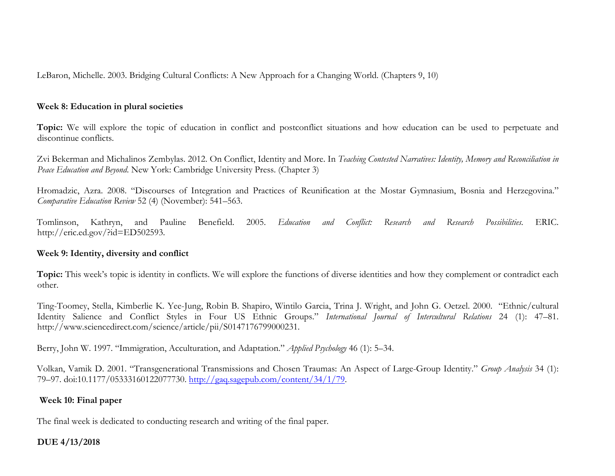LeBaron, Michelle. 2003. Bridging Cultural Conflicts: A New Approach for a Changing World. (Chapters 9, 10)

#### **Week 8: Education in plural societies**

**Topic:** We will explore the topic of education in conflict and postconflict situations and how education can be used to perpetuate and discontinue conflicts.

Zvi Bekerman and Michalinos Zembylas. 2012. On Conflict, Identity and More. In *Teaching Contested Narratives: Identity, Memory and Reconciliation in Peace Education and Beyond*. New York: Cambridge University Press. (Chapter 3)

Hromadzic, Azra. 2008. "Discourses of Integration and Practices of Reunification at the Mostar Gymnasium, Bosnia and Herzegovina." *Comparative Education Review* 52 (4) (November): 541–563.

Tomlinson, Kathryn, and Pauline Benefield. 2005. *Education and Conflict: Research and Research Possibilities.* ERIC. http://eric.ed.gov/?id=ED502593.

#### **Week 9: Identity, diversity and conflict**

Topic: This week's topic is identity in conflicts. We will explore the functions of diverse identities and how they complement or contradict each other.

Ting-Toomey, Stella, Kimberlie K. Yee-Jung, Robin B. Shapiro, Wintilo Garcia, Trina J. Wright, and John G. Oetzel. 2000. "Ethnic/cultural Identity Salience and Conflict Styles in Four US Ethnic Groups." *International Journal of Intercultural Relations* 24 (1): 47–81. http://www.sciencedirect.com/science/article/pii/S0147176799000231.

Berry, John W. 1997. "Immigration, Acculturation, and Adaptation." *Applied Psychology* 46 (1): 5–34.

Volkan, Vamik D. 2001. "Transgenerational Transmissions and Chosen Traumas: An Aspect of Large-Group Identity." *Group Analysis* 34 (1): 79–97. doi:10.1177/05333160122077730. http://gaq.sagepub.com/content/34/1/79.

### **Week 10: Final paper**

The final week is dedicated to conducting research and writing of the final paper.

### **DUE 4/13/2018**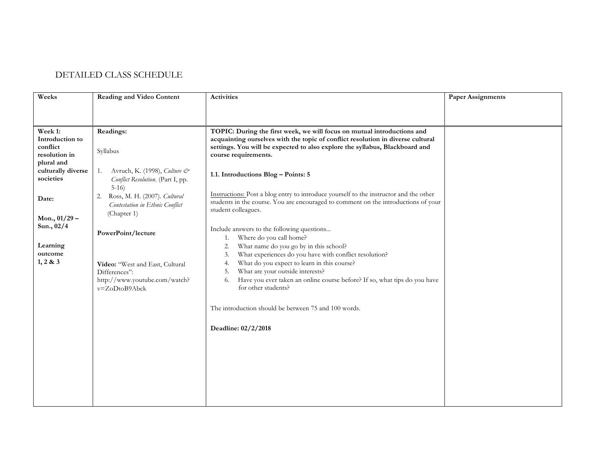## DETAILED CLASS SCHEDULE

| Weeks                                                   | <b>Reading and Video Content</b>                                                                   | <b>Activities</b>                                                                                                                                                                                                                                                 | <b>Paper Assignments</b> |
|---------------------------------------------------------|----------------------------------------------------------------------------------------------------|-------------------------------------------------------------------------------------------------------------------------------------------------------------------------------------------------------------------------------------------------------------------|--------------------------|
|                                                         |                                                                                                    |                                                                                                                                                                                                                                                                   |                          |
| Week 1:<br>Introduction to<br>conflict<br>resolution in | Readings:<br>Syllabus                                                                              | TOPIC: During the first week, we will focus on mutual introductions and<br>acquainting ourselves with the topic of conflict resolution in diverse cultural<br>settings. You will be expected to also explore the syllabus, Blackboard and<br>course requirements. |                          |
| plural and<br>culturally diverse<br>societies           | Avruch, K. (1998), Culture &<br>1.<br>Conflict Resolution. (Part I, pp.<br>$5-16$                  | 1.1. Introductions Blog - Points: 5                                                                                                                                                                                                                               |                          |
| Date:                                                   | Ross, M. H. (2007). Cultural<br>2.<br>Contestation in Ethnic Conflict<br>(Chapter 1)               | Instructions: Post a blog entry to introduce yourself to the instructor and the other<br>students in the course. You are encouraged to comment on the introductions of your<br>student colleagues.                                                                |                          |
| Mon., $01/29$ –<br>Sun., 02/4<br>Learning<br>outcome    | PowerPoint/lecture                                                                                 | Include answers to the following questions<br>Where do you call home?<br>1.<br>What name do you go by in this school?<br>2.<br>What experiences do you have with conflict resolution?<br>3.                                                                       |                          |
| 1, 2 & 3                                                | Video: "West and East, Cultural<br>Differences":<br>http://www.youtube.com/watch?<br>v=ZoDtoB9Abck | What do you expect to learn in this course?<br>4.<br>What are your outside interests?<br>5.<br>Have you ever taken an online course before? If so, what tips do you have<br>6.<br>for other students?                                                             |                          |
|                                                         |                                                                                                    | The introduction should be between 75 and 100 words.                                                                                                                                                                                                              |                          |
|                                                         |                                                                                                    | Deadline: 02/2/2018                                                                                                                                                                                                                                               |                          |
|                                                         |                                                                                                    |                                                                                                                                                                                                                                                                   |                          |
|                                                         |                                                                                                    |                                                                                                                                                                                                                                                                   |                          |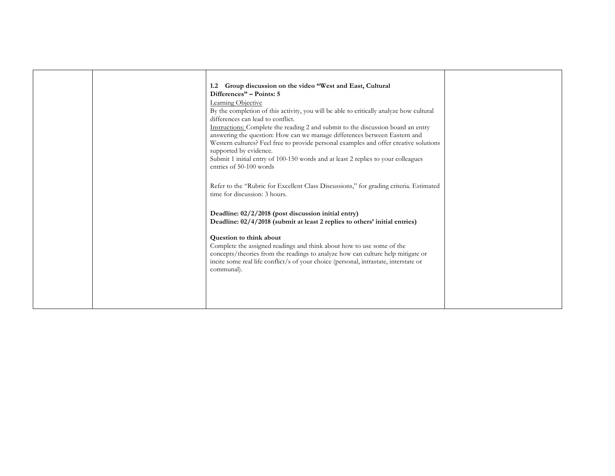|  | 1.2 Group discussion on the video "West and East, Cultural<br>Differences" – Points: 5<br>Learning Objective<br>By the completion of this activity, you will be able to critically analyze how cultural<br>differences can lead to conflict.<br>Instructions: Complete the reading 2 and submit to the discussion board an entry<br>answering the question: How can we manage differences between Eastern and<br>Western cultures? Feel free to provide personal examples and offer creative solutions<br>supported by evidence.<br>Submit 1 initial entry of 100-150 words and at least 2 replies to your colleagues<br>entries of 50-100 words<br>Refer to the "Rubric for Excellent Class Discussions," for grading criteria. Estimated |  |
|--|--------------------------------------------------------------------------------------------------------------------------------------------------------------------------------------------------------------------------------------------------------------------------------------------------------------------------------------------------------------------------------------------------------------------------------------------------------------------------------------------------------------------------------------------------------------------------------------------------------------------------------------------------------------------------------------------------------------------------------------------|--|
|  | time for discussion: 3 hours.<br>Deadline: 02/2/2018 (post discussion initial entry)<br>Deadline: 02/4/2018 (submit at least 2 replies to others' initial entries)<br>Question to think about<br>Complete the assigned readings and think about how to use some of the<br>concepts/theories from the readings to analyze how can culture help mitigate or<br>incite some real life conflict/s of your choice (personal, intrastate, interstate or<br>communal).                                                                                                                                                                                                                                                                            |  |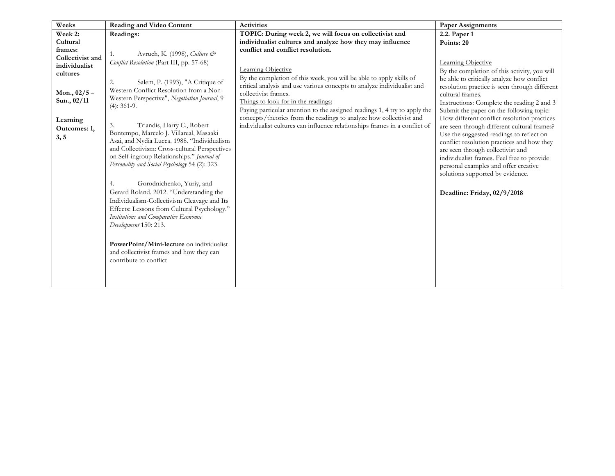| Weeks            | <b>Reading and Video Content</b>                                                        | <b>Activities</b>                                                          | <b>Paper Assignments</b>                                                        |
|------------------|-----------------------------------------------------------------------------------------|----------------------------------------------------------------------------|---------------------------------------------------------------------------------|
| Week 2:          | Readings:                                                                               | TOPIC: During week 2, we will focus on collectivist and                    | 2.2. Paper 1                                                                    |
| Cultural         |                                                                                         | individualist cultures and analyze how they may influence                  | Points: 20                                                                      |
| frames:          | Avruch, K. (1998), Culture &                                                            | conflict and conflict resolution.                                          |                                                                                 |
| Collectivist and | Conflict Resolution (Part III, pp. 57-68)                                               |                                                                            | Learning Objective                                                              |
| individualist    |                                                                                         | Learning Objective                                                         | By the completion of this activity, you will                                    |
| cultures         |                                                                                         | By the completion of this week, you will be able to apply skills of        | be able to critically analyze how conflict                                      |
|                  | Salem, P. (1993), "A Critique of<br>2.                                                  | critical analysis and use various concepts to analyze individualist and    | resolution practice is seen through different                                   |
| Mon., $02/5 -$   | Western Conflict Resolution from a Non-<br>Western Perspective", Negotiation Journal, 9 | collectivist frames.                                                       | cultural frames.                                                                |
| Sun., 02/11      | $(4): 361-9.$                                                                           | Things to look for in the readings:                                        | Instructions: Complete the reading 2 and 3                                      |
|                  |                                                                                         | Paying particular attention to the assigned readings 1, 4 try to apply the | Submit the paper on the following topic:                                        |
| Learning         |                                                                                         | concepts/theories from the readings to analyze how collectivist and        | How different conflict resolution practices                                     |
| Outcomes: 1,     | Triandis, Harry C., Robert<br>3.                                                        | individualist cultures can influence relationships frames in a conflict of | are seen through different cultural frames?                                     |
| 3, 5             | Bontempo, Marcelo J. Villareal, Masaaki<br>Asai, and Nydia Lucca. 1988. "Individualism  |                                                                            | Use the suggested readings to reflect on                                        |
|                  | and Collectivism: Cross-cultural Perspectives                                           |                                                                            | conflict resolution practices and how they                                      |
|                  | on Self-ingroup Relationships." Journal of                                              |                                                                            | are seen through collectivist and<br>individualist frames. Feel free to provide |
|                  | Personality and Social Psychology 54 (2): 323.                                          |                                                                            | personal examples and offer creative                                            |
|                  |                                                                                         |                                                                            | solutions supported by evidence.                                                |
|                  | Gorodnichenko, Yuriy, and<br>4.                                                         |                                                                            |                                                                                 |
|                  | Gerard Roland. 2012. "Understanding the                                                 |                                                                            |                                                                                 |
|                  | Individualism-Collectivism Cleavage and Its                                             |                                                                            | Deadline: Friday, 02/9/2018                                                     |
|                  | Effects: Lessons from Cultural Psychology."                                             |                                                                            |                                                                                 |
|                  | Institutions and Comparative Economic                                                   |                                                                            |                                                                                 |
|                  | Development 150: 213.                                                                   |                                                                            |                                                                                 |
|                  |                                                                                         |                                                                            |                                                                                 |
|                  | PowerPoint/Mini-lecture on individualist                                                |                                                                            |                                                                                 |
|                  | and collectivist frames and how they can                                                |                                                                            |                                                                                 |
|                  | contribute to conflict                                                                  |                                                                            |                                                                                 |
|                  |                                                                                         |                                                                            |                                                                                 |
|                  |                                                                                         |                                                                            |                                                                                 |
|                  |                                                                                         |                                                                            |                                                                                 |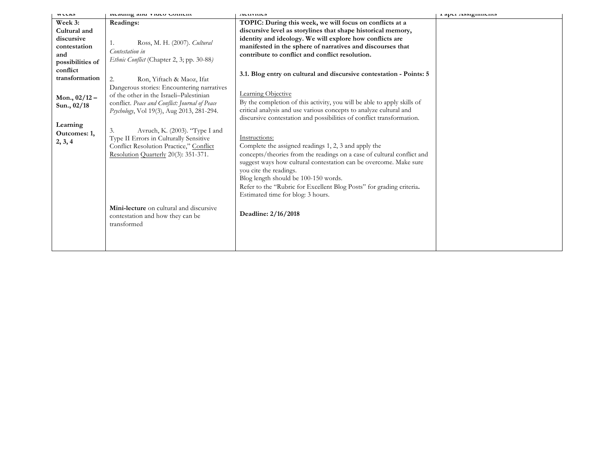| <b>WULDS</b>                                                                     | iveauing and video content                                                                                                                                                           | <b>AULIVILLES</b>                                                                                                                                                                                                                                                                                                                                                                                   | 1 арст поэтдинисто |
|----------------------------------------------------------------------------------|--------------------------------------------------------------------------------------------------------------------------------------------------------------------------------------|-----------------------------------------------------------------------------------------------------------------------------------------------------------------------------------------------------------------------------------------------------------------------------------------------------------------------------------------------------------------------------------------------------|--------------------|
| Week 3:<br>Cultural and<br>discursive<br>contestation<br>and<br>possibilities of | Readings:<br>Ross, M. H. (2007). Cultural<br>1.<br>Contestation in<br>Ethnic Conflict (Chapter 2, 3; pp. 30-88)                                                                      | TOPIC: During this week, we will focus on conflicts at a<br>discursive level as storylines that shape historical memory,<br>identity and ideology. We will explore how conflicts are<br>manifested in the sphere of narratives and discourses that<br>contribute to conflict and conflict resolution.                                                                                               |                    |
| conflict<br>transformation                                                       | Ron, Yiftach & Maoz, Ifat<br>2.                                                                                                                                                      | 3.1. Blog entry on cultural and discursive contestation - Points: 5                                                                                                                                                                                                                                                                                                                                 |                    |
| Mon., $02/12 -$<br>Sun., 02/18                                                   | Dangerous stories: Encountering narratives<br>of the other in the Israeli-Palestinian<br>conflict. Peace and Conflict: Journal of Peace<br>Psychology, Vol 19(3), Aug 2013, 281-294. | Learning Objective<br>By the completion of this activity, you will be able to apply skills of<br>critical analysis and use various concepts to analyze cultural and<br>discursive contestation and possibilities of conflict transformation.                                                                                                                                                        |                    |
| Learning<br>Outcomes: 1,<br>2, 3, 4                                              | Avruch, K. (2003). "Type I and<br>3.<br>Type II Errors in Culturally Sensitive<br>Conflict Resolution Practice," Conflict<br>Resolution Quarterly 20(3): 351-371.                    | Instructions:<br>Complete the assigned readings 1, 2, 3 and apply the<br>concepts/theories from the readings on a case of cultural conflict and<br>suggest ways how cultural contestation can be overcome. Make sure<br>you cite the readings.<br>Blog length should be 100-150 words.<br>Refer to the "Rubric for Excellent Blog Posts" for grading criteria.<br>Estimated time for blog: 3 hours. |                    |
|                                                                                  | Mini-lecture on cultural and discursive<br>contestation and how they can be<br>transformed                                                                                           | Deadline: 2/16/2018                                                                                                                                                                                                                                                                                                                                                                                 |                    |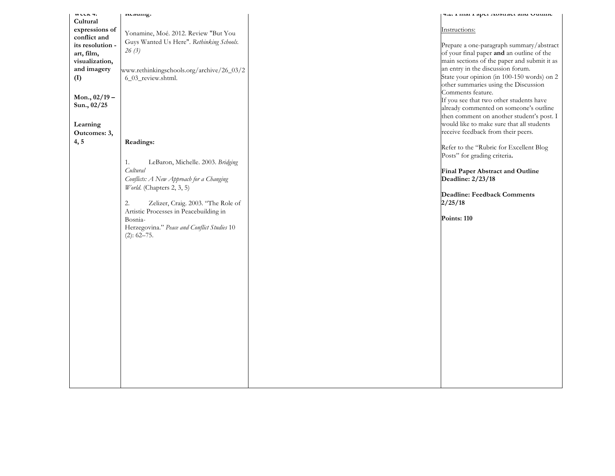| WUUA T.          | ncaumg.                                     | 7.4. Final i apel Abstract anu Outnite                                             |
|------------------|---------------------------------------------|------------------------------------------------------------------------------------|
| Cultural         |                                             |                                                                                    |
| expressions of   | Yonamine, Moé. 2012. Review "But You        | Instructions:                                                                      |
| conflict and     | Guys Wanted Us Here". Rethinking Schools.   |                                                                                    |
| its resolution - | 26(3)                                       | Prepare a one-paragraph summary/abstract                                           |
| art, film,       |                                             | of your final paper and an outline of the                                          |
| visualization,   |                                             | main sections of the paper and submit it as                                        |
| and imagery      | www.rethinkingschools.org/archive/26_03/2   | an entry in the discussion forum.                                                  |
| (I)              | 6_03_review.shtml.                          | State your opinion (in 100-150 words) on 2<br>other summaries using the Discussion |
|                  |                                             | Comments feature.                                                                  |
| Mon., $02/19 -$  |                                             | If you see that two other students have                                            |
| Sun., 02/25      |                                             | already commented on someone's outline                                             |
|                  |                                             | then comment on another student's post. I                                          |
| Learning         |                                             | would like to make sure that all students                                          |
| Outcomes: 3,     |                                             | receive feedback from their peers.                                                 |
| 4, 5             | Readings:                                   |                                                                                    |
|                  |                                             | Refer to the "Rubric for Excellent Blog                                            |
|                  |                                             | Posts" for grading criteria.                                                       |
|                  | LeBaron, Michelle. 2003. Bridging<br>1.     |                                                                                    |
|                  | Cultural                                    | Final Paper Abstract and Outline                                                   |
|                  | Conflicts: A New Approach for a Changing    | Deadline: 2/23/18                                                                  |
|                  | World. (Chapters 2, 3, 5)                   |                                                                                    |
|                  |                                             | Deadline: Feedback Comments                                                        |
|                  | Zelizer, Craig. 2003. "The Role of<br>2.    | 2/25/18                                                                            |
|                  | Artistic Processes in Peacebuilding in      | Points: 110                                                                        |
|                  | Bosnia-                                     |                                                                                    |
|                  | Herzegovina." Peace and Conflict Studies 10 |                                                                                    |
|                  | $(2): 62 - 75.$                             |                                                                                    |
|                  |                                             |                                                                                    |
|                  |                                             |                                                                                    |
|                  |                                             |                                                                                    |
|                  |                                             |                                                                                    |
|                  |                                             |                                                                                    |
|                  |                                             |                                                                                    |
|                  |                                             |                                                                                    |
|                  |                                             |                                                                                    |
|                  |                                             |                                                                                    |
|                  |                                             |                                                                                    |
|                  |                                             |                                                                                    |
|                  |                                             |                                                                                    |
|                  |                                             |                                                                                    |
|                  |                                             |                                                                                    |
|                  |                                             |                                                                                    |
|                  |                                             |                                                                                    |
|                  |                                             |                                                                                    |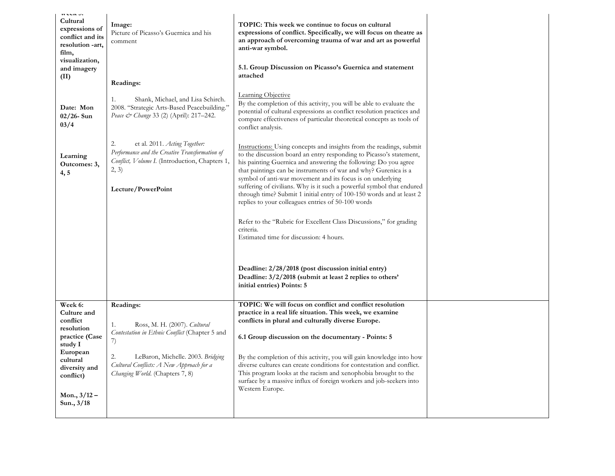| <b>HELLA</b> UI<br>Cultural<br>expressions of<br>conflict and its<br>resolution -art,<br>film,<br>visualization,<br>and imagery<br>(II)                             | Image:<br>Picture of Picasso's Guernica and his<br>comment<br>Readings:<br>Shank, Michael, and Lisa Schirch.<br>1.                                                                                                                | TOPIC: This week we continue to focus on cultural<br>expressions of conflict. Specifically, we will focus on theatre as<br>an approach of overcoming trauma of war and art as powerful<br>anti-war symbol.<br>5.1. Group Discussion on Picasso's Guernica and statement<br>attached<br>Learning Objective                                                                                                                                                                                                                                                                                                                                                                                                                                                                                                                            |  |
|---------------------------------------------------------------------------------------------------------------------------------------------------------------------|-----------------------------------------------------------------------------------------------------------------------------------------------------------------------------------------------------------------------------------|--------------------------------------------------------------------------------------------------------------------------------------------------------------------------------------------------------------------------------------------------------------------------------------------------------------------------------------------------------------------------------------------------------------------------------------------------------------------------------------------------------------------------------------------------------------------------------------------------------------------------------------------------------------------------------------------------------------------------------------------------------------------------------------------------------------------------------------|--|
| Date: Mon<br>$02/26$ - Sun<br>03/4                                                                                                                                  | 2008. "Strategic Arts-Based Peacebuilding."<br>Peace & Change 33 (2) (April): 217-242.                                                                                                                                            | By the completion of this activity, you will be able to evaluate the<br>potential of cultural expressions as conflict resolution practices and<br>compare effectiveness of particular theoretical concepts as tools of<br>conflict analysis.                                                                                                                                                                                                                                                                                                                                                                                                                                                                                                                                                                                         |  |
| Learning<br>Outcomes: 3,<br>4, 5                                                                                                                                    | 2.<br>et al. 2011. Acting Together:<br>Performance and the Creative Transformation of<br>Conflict, Volume I. (Introduction, Chapters 1,<br>2, 3)<br>Lecture/PowerPoint                                                            | Instructions: Using concepts and insights from the readings, submit<br>to the discussion board an entry responding to Picasso's statement,<br>his painting Guernica and answering the following: Do you agree<br>that paintings can be instruments of war and why? Gurenica is a<br>symbol of anti-war movement and its focus is on underlying<br>suffering of civilians. Why is it such a powerful symbol that endured<br>through time? Submit 1 initial entry of 100-150 words and at least 2<br>replies to your colleagues entries of 50-100 words<br>Refer to the "Rubric for Excellent Class Discussions," for grading<br>criteria.<br>Estimated time for discussion: 4 hours.<br>Deadline: 2/28/2018 (post discussion initial entry)<br>Deadline: 3/2/2018 (submit at least 2 replies to others'<br>initial entries) Points: 5 |  |
| Week 6:<br>Culture and<br>conflict<br>resolution<br>practice (Case<br>study I<br>European<br>cultural<br>diversity and<br>conflict)<br>Mon., $3/12 -$<br>Sun., 3/18 | Readings:<br>Ross, M. H. (2007). Cultural<br>1.<br>Contestation in Ethnic Conflict (Chapter 5 and<br>7)<br>2.<br>LeBaron, Michelle. 2003. Bridging<br>Cultural Conflicts: A New Approach for a<br>Changing World. (Chapters 7, 8) | TOPIC: We will focus on conflict and conflict resolution<br>practice in a real life situation. This week, we examine<br>conflicts in plural and culturally diverse Europe.<br>6.1 Group discussion on the documentary - Points: 5<br>By the completion of this activity, you will gain knowledge into how<br>diverse cultures can create conditions for contestation and conflict.<br>This program looks at the racism and xenophobia brought to the<br>surface by a massive influx of foreign workers and job-seekers into<br>Western Europe.                                                                                                                                                                                                                                                                                       |  |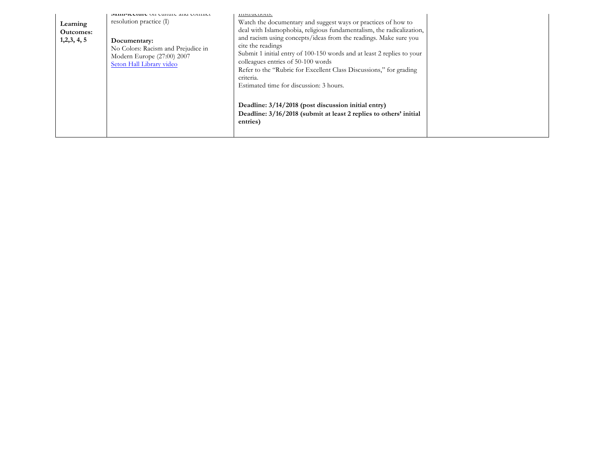| Learning<br><b>Outcomes:</b><br>1,2,3,4,5 | пини-песните он считие ана соннист<br>resolution practice (I)<br>Documentary:<br>No Colors: Racism and Prejudice in<br>Modern Europe (27:00) 2007<br>Seton Hall Library video | monutums.<br>Watch the documentary and suggest ways or practices of how to<br>deal with Islamophobia, religious fundamentalism, the radicalization,<br>and racism using concepts/ideas from the readings. Make sure you<br>cite the readings<br>Submit 1 initial entry of 100-150 words and at least 2 replies to your<br>colleagues entries of 50-100 words<br>Refer to the "Rubric for Excellent Class Discussions," for grading<br>criteria.<br>Estimated time for discussion: 3 hours. |  |
|-------------------------------------------|-------------------------------------------------------------------------------------------------------------------------------------------------------------------------------|--------------------------------------------------------------------------------------------------------------------------------------------------------------------------------------------------------------------------------------------------------------------------------------------------------------------------------------------------------------------------------------------------------------------------------------------------------------------------------------------|--|
|                                           |                                                                                                                                                                               | Deadline: 3/14/2018 (post discussion initial entry)<br>Deadline: 3/16/2018 (submit at least 2 replies to others' initial<br>entries)                                                                                                                                                                                                                                                                                                                                                       |  |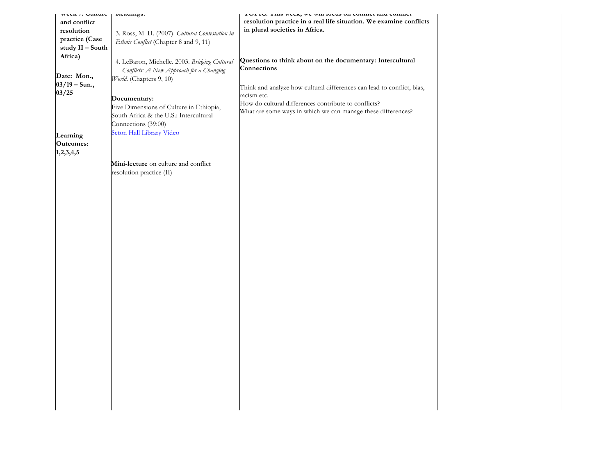| WCCA / CULTUIT<br>and conflict<br>resolution<br>practice (Case<br>study II - South<br>Africa)<br>Date: Mon.,<br>$03/19 - Sun.,$<br>03/25 | ncaumgs.<br>3. Ross, M. H. (2007). Cultural Contestation in<br>Ethnic Conflict (Chapter 8 and 9, 11)<br>4. LeBaron, Michelle. 2003. Bridging Cultural<br>Conflicts: A New Approach for a Changing<br>World. (Chapters 9, 10)<br>Documentary:<br>Five Dimensions of Culture in Ethiopia,<br>South Africa & the U.S.: Intercultural | TOTTO, THIS WEEK, WE WILL TOURS ON COMMER AND COMMEN<br>resolution practice in a real life situation. We examine conflicts<br>in plural societies in Africa.<br>Questions to think about on the documentary: Intercultural<br>Connections<br>Think and analyze how cultural differences can lead to conflict, bias,<br>racism etc.<br>How do cultural differences contribute to conflicts?<br>What are some ways in which we can manage these differences? |  |
|------------------------------------------------------------------------------------------------------------------------------------------|-----------------------------------------------------------------------------------------------------------------------------------------------------------------------------------------------------------------------------------------------------------------------------------------------------------------------------------|------------------------------------------------------------------------------------------------------------------------------------------------------------------------------------------------------------------------------------------------------------------------------------------------------------------------------------------------------------------------------------------------------------------------------------------------------------|--|
| Learning<br><b>Outcomes:</b>                                                                                                             | Connections (39:00)<br>Seton Hall Library Video                                                                                                                                                                                                                                                                                   |                                                                                                                                                                                                                                                                                                                                                                                                                                                            |  |
| 1,2,3,4,5                                                                                                                                | Mini-lecture on culture and conflict<br>resolution practice (II)                                                                                                                                                                                                                                                                  |                                                                                                                                                                                                                                                                                                                                                                                                                                                            |  |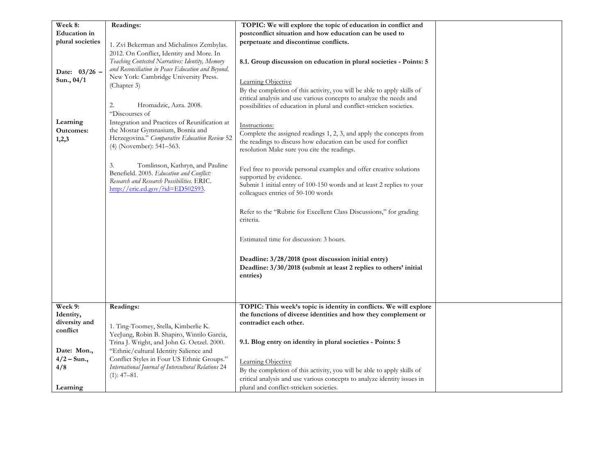| Week 8:                                 | Readings:                                                                                                                                                                                                                                                                                                   | TOPIC: We will explore the topic of education in conflict and                                                                                                                                                                                                                                                                                                                                                                                                                                                                                                                                            |  |
|-----------------------------------------|-------------------------------------------------------------------------------------------------------------------------------------------------------------------------------------------------------------------------------------------------------------------------------------------------------------|----------------------------------------------------------------------------------------------------------------------------------------------------------------------------------------------------------------------------------------------------------------------------------------------------------------------------------------------------------------------------------------------------------------------------------------------------------------------------------------------------------------------------------------------------------------------------------------------------------|--|
| <b>Education</b> in                     |                                                                                                                                                                                                                                                                                                             | postconflict situation and how education can be used to                                                                                                                                                                                                                                                                                                                                                                                                                                                                                                                                                  |  |
| plural societies                        | 1. Zvi Bekerman and Michalinos Zembylas.                                                                                                                                                                                                                                                                    | perpetuate and discontinue conflicts.                                                                                                                                                                                                                                                                                                                                                                                                                                                                                                                                                                    |  |
| Date: 03/26 -<br>Sun., 04/1<br>Learning | 2012. On Conflict, Identity and More. In<br>Teaching Contested Narratives: Identity, Memory<br>and Reconciliation in Peace Education and Beyond.<br>New York: Cambridge University Press.<br>(Chapter 3)<br>Hromadzic, Azra. 2008.<br>2.<br>"Discourses of<br>Integration and Practices of Reunification at | 8.1. Group discussion on education in plural societies - Points: 5<br>Learning Objective<br>By the completion of this activity, you will be able to apply skills of<br>critical analysis and use various concepts to analyze the needs and<br>possibilities of education in plural and conflict-stricken societies.                                                                                                                                                                                                                                                                                      |  |
| Outcomes:                               | the Mostar Gymnasium, Bosnia and                                                                                                                                                                                                                                                                            | Instructions:                                                                                                                                                                                                                                                                                                                                                                                                                                                                                                                                                                                            |  |
| 1,2,3                                   | Herzegovina." Comparative Education Review 52<br>(4) (November): 541-563.                                                                                                                                                                                                                                   | Complete the assigned readings 1, 2, 3, and apply the concepts from<br>the readings to discuss how education can be used for conflict                                                                                                                                                                                                                                                                                                                                                                                                                                                                    |  |
| Week 9:                                 | Tomlinson, Kathryn, and Pauline<br>3.<br>Benefield. 2005. Education and Conflict:<br>Research and Research Possibilities. ERIC.<br>http://eric.ed.gov/?id=ED502593.<br>Readings:                                                                                                                            | resolution Make sure you cite the readings.<br>Feel free to provide personal examples and offer creative solutions<br>supported by evidence.<br>Submit 1 initial entry of 100-150 words and at least 2 replies to your<br>colleagues entries of 50-100 words<br>Refer to the "Rubric for Excellent Class Discussions," for grading<br>criteria.<br>Estimated time for discussion: 3 hours.<br>Deadline: 3/28/2018 (post discussion initial entry)<br>Deadline: 3/30/2018 (submit at least 2 replies to others' initial<br>entries)<br>TOPIC: This week's topic is identity in conflicts. We will explore |  |
| Identity,                               |                                                                                                                                                                                                                                                                                                             | the functions of diverse identities and how they complement or                                                                                                                                                                                                                                                                                                                                                                                                                                                                                                                                           |  |
| diversity and                           |                                                                                                                                                                                                                                                                                                             | contradict each other.                                                                                                                                                                                                                                                                                                                                                                                                                                                                                                                                                                                   |  |
| conflict                                | 1. Ting-Toomey, Stella, Kimberlie K.<br>YeeJung, Robin B. Shapiro, Wintilo Garcia,                                                                                                                                                                                                                          |                                                                                                                                                                                                                                                                                                                                                                                                                                                                                                                                                                                                          |  |
|                                         | Trina J. Wright, and John G. Oetzel. 2000.                                                                                                                                                                                                                                                                  | 9.1. Blog entry on identity in plural societies - Points: 5                                                                                                                                                                                                                                                                                                                                                                                                                                                                                                                                              |  |
| Date: Mon.,                             | "Ethnic/cultural Identity Salience and                                                                                                                                                                                                                                                                      |                                                                                                                                                                                                                                                                                                                                                                                                                                                                                                                                                                                                          |  |
| $4/2 - Sun.,$                           | Conflict Styles in Four US Ethnic Groups."                                                                                                                                                                                                                                                                  |                                                                                                                                                                                                                                                                                                                                                                                                                                                                                                                                                                                                          |  |
| 4/8                                     | International Journal of Intercultural Relations 24                                                                                                                                                                                                                                                         | Learning Objective                                                                                                                                                                                                                                                                                                                                                                                                                                                                                                                                                                                       |  |
|                                         | $(1): 47 - 81.$                                                                                                                                                                                                                                                                                             | By the completion of this activity, you will be able to apply skills of                                                                                                                                                                                                                                                                                                                                                                                                                                                                                                                                  |  |
|                                         |                                                                                                                                                                                                                                                                                                             | critical analysis and use various concepts to analyze identity issues in                                                                                                                                                                                                                                                                                                                                                                                                                                                                                                                                 |  |
| Learning                                |                                                                                                                                                                                                                                                                                                             | plural and conflict-stricken societies.                                                                                                                                                                                                                                                                                                                                                                                                                                                                                                                                                                  |  |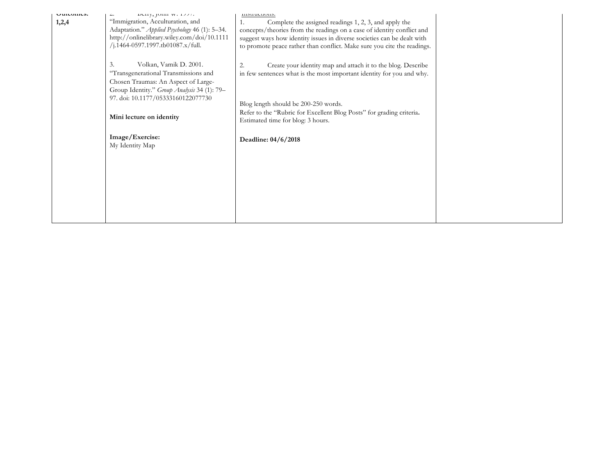| UULULLUS.<br>1,2,4 | DULLY, JULIII $W. 1777$ .<br>"Immigration, Acculturation, and<br>Adaptation." Applied Psychology 46 (1): 5-34.<br>http://onlinelibrary.wiley.com/doi/10.1111<br>/j.1464-0597.1997.tb01087.x/full. | monutuons.<br>Complete the assigned readings 1, 2, 3, and apply the<br>1.<br>concepts/theories from the readings on a case of identity conflict and<br>suggest ways how identity issues in diverse societies can be dealt with<br>to promote peace rather than conflict. Make sure you cite the readings. |  |
|--------------------|---------------------------------------------------------------------------------------------------------------------------------------------------------------------------------------------------|-----------------------------------------------------------------------------------------------------------------------------------------------------------------------------------------------------------------------------------------------------------------------------------------------------------|--|
|                    | Volkan, Vamik D. 2001.<br>3.<br>"Transgenerational Transmissions and<br>Chosen Traumas: An Aspect of Large-<br>Group Identity." Group Analysis 34 (1): 79-                                        | Create your identity map and attach it to the blog. Describe<br>2.<br>in few sentences what is the most important identity for you and why.                                                                                                                                                               |  |
|                    | 97. doi: 10.1177/05333160122077730<br>Mini lecture on identity                                                                                                                                    | Blog length should be 200-250 words.<br>Refer to the "Rubric for Excellent Blog Posts" for grading criteria.<br>Estimated time for blog: 3 hours.                                                                                                                                                         |  |
|                    | Image/Exercise:<br>My Identity Map                                                                                                                                                                | Deadline: 04/6/2018                                                                                                                                                                                                                                                                                       |  |
|                    |                                                                                                                                                                                                   |                                                                                                                                                                                                                                                                                                           |  |
|                    |                                                                                                                                                                                                   |                                                                                                                                                                                                                                                                                                           |  |